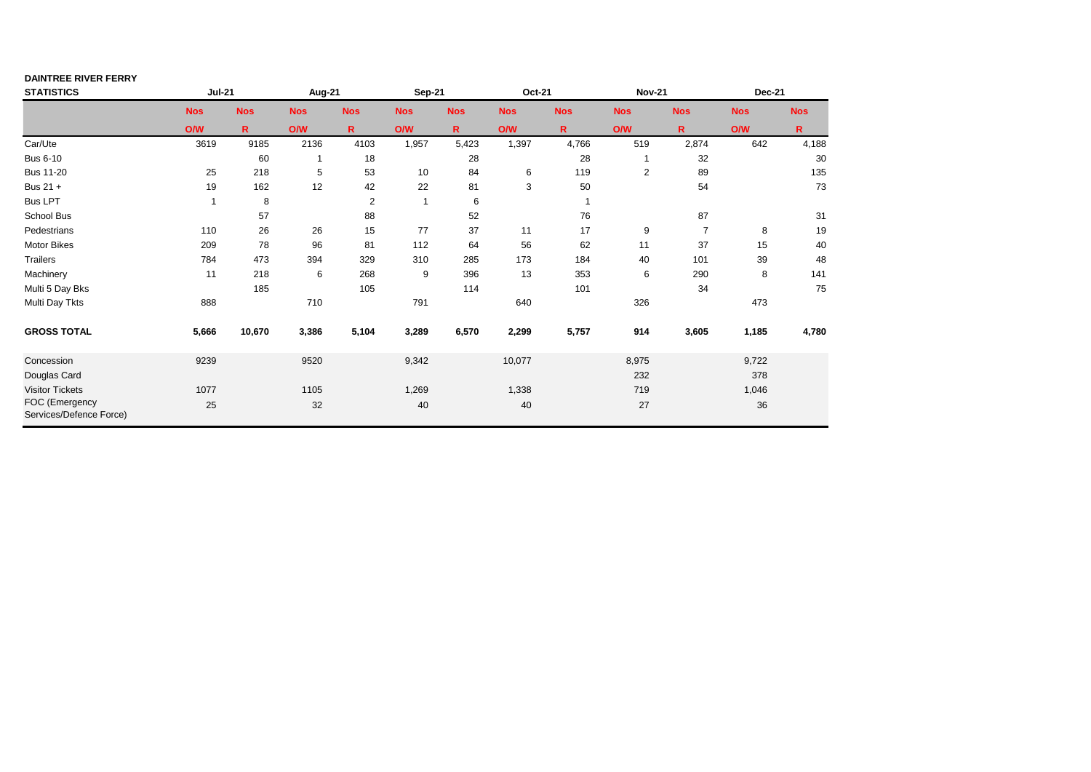## **DAINTREE RIVER FERRY**

| <b>STATISTICS</b>                         | <b>Jul-21</b>  |            | <b>Aug-21</b> |            | Sep-21       |             | Oct-21     |            | <b>Nov-21</b> |                | <b>Dec-21</b> |            |
|-------------------------------------------|----------------|------------|---------------|------------|--------------|-------------|------------|------------|---------------|----------------|---------------|------------|
|                                           | <b>Nos</b>     | <b>Nos</b> | <b>Nos</b>    | <b>Nos</b> | <b>Nos</b>   | <b>Nos</b>  | <b>Nos</b> | <b>Nos</b> | <b>Nos</b>    | <b>Nos</b>     | <b>Nos</b>    | <b>Nos</b> |
|                                           | <b>O/W</b>     | R.         | <b>O/W</b>    | R.         | <b>O/W</b>   | $\mathbf R$ | <b>O/W</b> | R.         | O/W           | R.             | <b>O/W</b>    | R.         |
| Car/Ute                                   | 3619           | 9185       | 2136          | 4103       | 1,957        | 5,423       | 1,397      | 4,766      | 519           | 2,874          | 642           | 4,188      |
| <b>Bus 6-10</b>                           |                | 60         |               | 18         |              | 28          |            | 28         |               | 32             |               | 30         |
| <b>Bus 11-20</b>                          | 25             | 218        | 5             | 53         | 10           | 84          | 6          | 119        | $\mathbf{2}$  | 89             |               | 135        |
| Bus 21 +                                  | 19             | 162        | 12            | 42         | 22           | 81          | 3          | 50         |               | 54             |               | 73         |
| <b>Bus LPT</b>                            | $\overline{ }$ | 8          |               | $\sqrt{2}$ | $\mathbf{1}$ | 6           |            | 1          |               |                |               |            |
| School Bus                                |                | 57         |               | 88         |              | 52          |            | 76         |               | 87             |               | 31         |
| Pedestrians                               | 110            | 26         | 26            | 15         | 77           | 37          | 11         | 17         | 9             | $\overline{7}$ | 8             | 19         |
| Motor Bikes                               | 209            | 78         | 96            | 81         | 112          | 64          | 56         | 62         | 11            | 37             | 15            | 40         |
| <b>Trailers</b>                           | 784            | 473        | 394           | 329        | 310          | 285         | 173        | 184        | 40            | 101            | 39            | 48         |
| Machinery                                 | 11             | 218        | 6             | 268        | 9            | 396         | 13         | 353        | 6             | 290            | 8             | 141        |
| Multi 5 Day Bks                           |                | 185        |               | 105        |              | 114         |            | 101        |               | 34             |               | 75         |
| Multi Day Tkts                            | 888            |            | 710           |            | 791          |             | 640        |            | 326           |                | 473           |            |
| <b>GROSS TOTAL</b>                        | 5,666          | 10,670     | 3,386         | 5,104      | 3,289        | 6,570       | 2,299      | 5,757      | 914           | 3,605          | 1,185         | 4,780      |
| Concession                                | 9239           |            | 9520          |            | 9,342        |             | 10,077     |            | 8,975         |                | 9,722         |            |
| Douglas Card                              |                |            |               |            |              |             |            |            | 232           |                | 378           |            |
| <b>Visitor Tickets</b>                    | 1077           |            | 1105          |            | 1,269        |             | 1,338      |            | 719           |                | 1,046         |            |
| FOC (Emergency<br>Services/Defence Force) | 25             |            | 32            |            | 40           |             | 40         |            | 27            |                | 36            |            |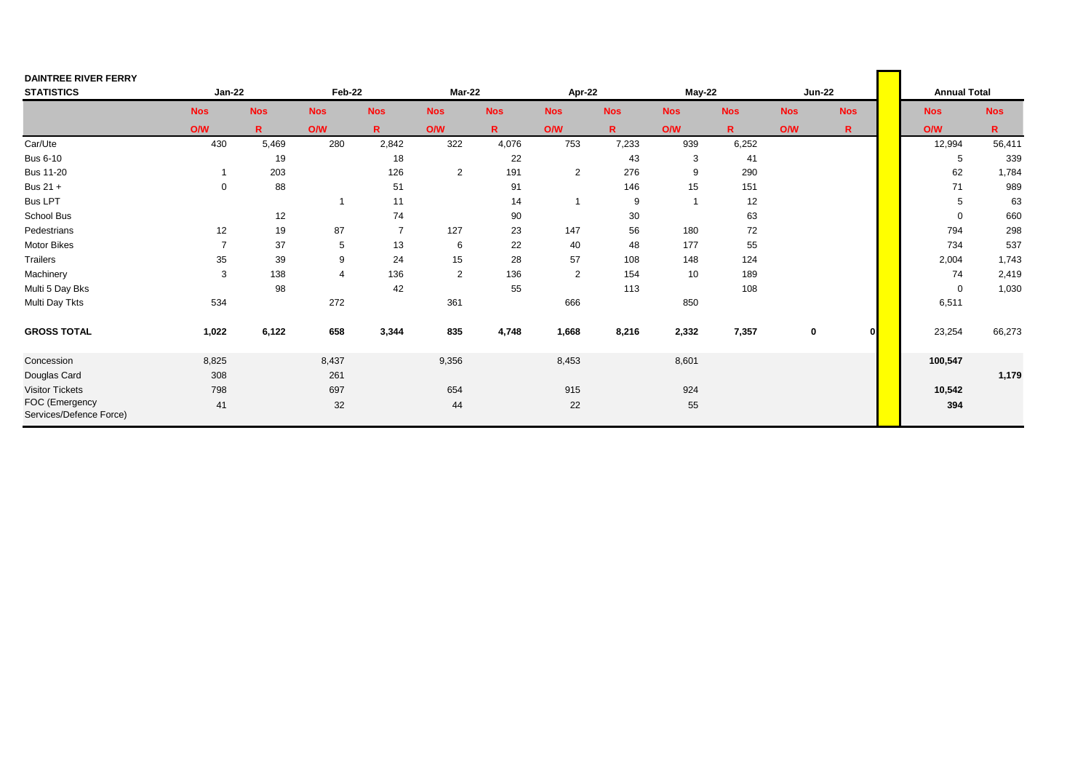| <b>DAINTREE RIVER FERRY</b>               |                |            |                |                |                |            |            |            |            |            |             |               |              |                     |              |
|-------------------------------------------|----------------|------------|----------------|----------------|----------------|------------|------------|------------|------------|------------|-------------|---------------|--------------|---------------------|--------------|
| <b>STATISTICS</b>                         | <b>Jan-22</b>  |            | Feb-22         |                | <b>Mar-22</b>  |            | Apr-22     |            | $May-22$   |            |             | <b>Jun-22</b> |              | <b>Annual Total</b> |              |
|                                           | <b>Nos</b>     | <b>Nos</b> | <b>Nos</b>     | <b>Nos</b>     | <b>Nos</b>     | <b>Nos</b> | <b>Nos</b> | <b>Nos</b> | <b>Nos</b> | <b>Nos</b> | <b>Nos</b>  | <b>Nos</b>    |              | <b>Nos</b>          | <b>Nos</b>   |
|                                           | O/W            | R.         | O/W            | R.             | <b>O/W</b>     | R.         | O/W        | R.         | <b>O/W</b> | R.         | <b>O/W</b>  | R.            |              | O/W                 | $\mathbb{R}$ |
| Car/Ute                                   | 430            | 5,469      | 280            | 2,842          | 322            | 4,076      | 753        | 7,233      | 939        | 6,252      |             |               |              | 12,994              | 56,411       |
| <b>Bus 6-10</b>                           |                | 19         |                | 18             |                | 22         |            | 43         | 3          | 41         |             |               |              | 5                   | 339          |
| <b>Bus 11-20</b>                          |                | 203        |                | 126            | $\overline{2}$ | 191        | 2          | 276        | 9          | 290        |             |               |              | 62                  | 1,784        |
| Bus 21 +                                  | $\mathbf 0$    | 88         |                | 51             |                | 91         |            | 146        | 15         | 151        |             |               |              | 71                  | 989          |
| <b>Bus LPT</b>                            |                |            |                | 11             |                | 14         |            | 9          |            | 12         |             |               |              | 5                   | 63           |
| School Bus                                |                | 12         |                | 74             |                | 90         |            | 30         |            | 63         |             |               |              | $\Omega$            | 660          |
| Pedestrians                               | 12             | 19         | 87             | $\overline{7}$ | 127            | 23         | 147        | 56         | 180        | 72         |             |               |              | 794                 | 298          |
| Motor Bikes                               | $\overline{ }$ | 37         | 5              | 13             | 6              | 22         | 40         | 48         | 177        | 55         |             |               |              | 734                 | 537          |
| Trailers                                  | 35             | 39         | 9              | 24             | 15             | 28         | 57         | 108        | 148        | 124        |             |               |              | 2,004               | 1,743        |
| Machinery                                 | 3              | 138        | $\overline{4}$ | 136            | 2              | 136        | 2          | 154        | 10         | 189        |             |               |              | 74                  | 2,419        |
| Multi 5 Day Bks                           |                | 98         |                | 42             |                | 55         |            | 113        |            | 108        |             |               |              | $\mathbf 0$         | 1,030        |
| Multi Day Tkts                            | 534            |            | 272            |                | 361            |            | 666        |            | 850        |            |             |               |              | 6,511               |              |
| <b>GROSS TOTAL</b>                        | 1,022          | 6,122      | 658            | 3,344          | 835            | 4,748      | 1,668      | 8,216      | 2,332      | 7,357      | $\mathbf 0$ |               | $\mathbf{0}$ | 23,254              | 66,273       |
| Concession                                | 8,825          |            | 8,437          |                | 9,356          |            | 8,453      |            | 8,601      |            |             |               |              | 100,547             |              |
| Douglas Card                              | 308            |            | 261            |                |                |            |            |            |            |            |             |               |              |                     | 1,179        |
| <b>Visitor Tickets</b>                    | 798            |            | 697            |                | 654            |            | 915        |            | 924        |            |             |               |              | 10,542              |              |
| FOC (Emergency<br>Services/Defence Force) | 41             |            | 32             |                | 44             |            | 22         |            | 55         |            |             |               |              | 394                 |              |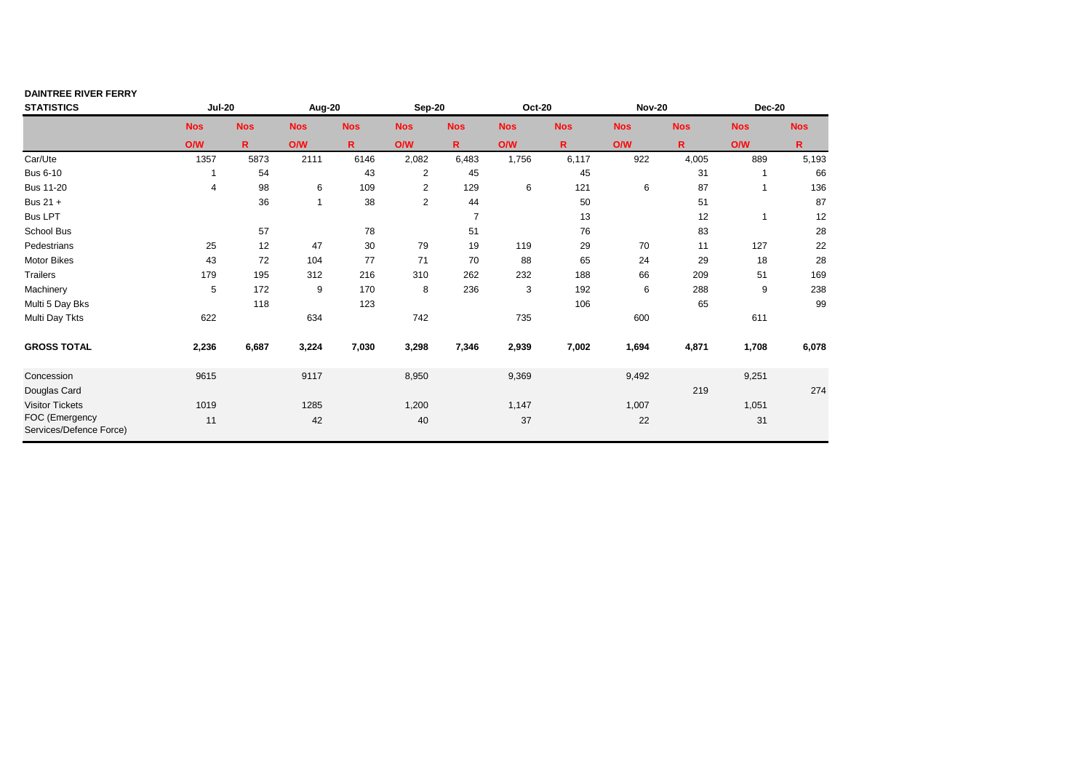| <b>DAINTREE RIVER FERRY</b>               |               |              |            |            |                |                |               |              |               |            |            |            |
|-------------------------------------------|---------------|--------------|------------|------------|----------------|----------------|---------------|--------------|---------------|------------|------------|------------|
| <b>STATISTICS</b>                         | <b>Jul-20</b> |              | Aug-20     |            | Sep-20         |                | <b>Oct-20</b> |              | <b>Nov-20</b> |            | Dec-20     |            |
|                                           | <b>Nos</b>    | <b>Nos</b>   | <b>Nos</b> | <b>Nos</b> | <b>Nos</b>     | <b>Nos</b>     | <b>Nos</b>    | <b>Nos</b>   | <b>Nos</b>    | <b>Nos</b> | <b>Nos</b> | <b>Nos</b> |
|                                           | O/W           | $\mathsf{R}$ | <b>O/W</b> | R.         | O/W            | R.             | <b>O/W</b>    | $\mathsf{R}$ | O/W           | R          | <b>O/W</b> | R.         |
| Car/Ute                                   | 1357          | 5873         | 2111       | 6146       | 2,082          | 6,483          | 1,756         | 6,117        | 922           | 4,005      | 889        | 5,193      |
| <b>Bus 6-10</b>                           |               | 54           |            | 43         | $\overline{2}$ | 45             |               | 45           |               | 31         |            | 66         |
| <b>Bus 11-20</b>                          | 4             | 98           | 6          | 109        | 2              | 129            | 6             | 121          | 6             | 87         |            | 136        |
| Bus 21 +                                  |               | 36           |            | 38         | $\overline{c}$ | 44             |               | 50           |               | 51         |            | 87         |
| <b>Bus LPT</b>                            |               |              |            |            |                | $\overline{7}$ |               | 13           |               | 12         | -1         | 12         |
| School Bus                                |               | 57           |            | 78         |                | 51             |               | 76           |               | 83         |            | 28         |
| Pedestrians                               | 25            | 12           | 47         | 30         | 79             | 19             | 119           | 29           | 70            | 11         | 127        | 22         |
| <b>Motor Bikes</b>                        | 43            | 72           | 104        | 77         | 71             | 70             | 88            | 65           | 24            | 29         | 18         | 28         |
| <b>Trailers</b>                           | 179           | 195          | 312        | 216        | 310            | 262            | 232           | 188          | 66            | 209        | 51         | 169        |
| Machinery                                 | 5             | 172          | 9          | 170        | 8              | 236            | 3             | 192          | 6             | 288        | 9          | 238        |
| Multi 5 Day Bks                           |               | 118          |            | 123        |                |                |               | 106          |               | 65         |            | 99         |
| Multi Day Tkts                            | 622           |              | 634        |            | 742            |                | 735           |              | 600           |            | 611        |            |
| <b>GROSS TOTAL</b>                        | 2,236         | 6,687        | 3,224      | 7,030      | 3,298          | 7,346          | 2,939         | 7,002        | 1,694         | 4,871      | 1,708      | 6,078      |
| Concession                                | 9615          |              | 9117       |            | 8,950          |                | 9,369         |              | 9,492         |            | 9,251      |            |
| Douglas Card                              |               |              |            |            |                |                |               |              |               | 219        |            | 274        |
| <b>Visitor Tickets</b>                    | 1019          |              | 1285       |            | 1,200          |                | 1,147         |              | 1,007         |            | 1,051      |            |
| FOC (Emergency<br>Services/Defence Force) | 11            |              | 42         |            | 40             |                | 37            |              | 22            |            | 31         |            |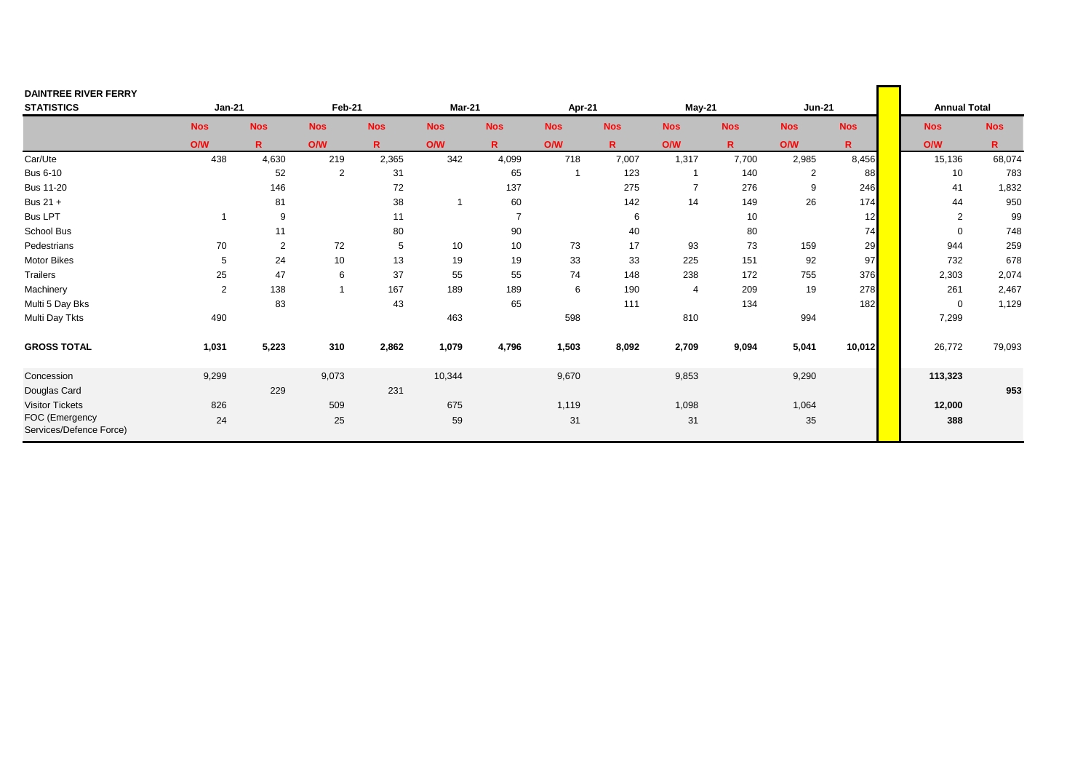| <b>DAINTREE RIVER FERRY</b>               |                |                |            |              |               |                |                         |            |                |              |                |              |                     |            |
|-------------------------------------------|----------------|----------------|------------|--------------|---------------|----------------|-------------------------|------------|----------------|--------------|----------------|--------------|---------------------|------------|
| <b>STATISTICS</b>                         | <b>Jan-21</b>  |                | Feb-21     |              | <b>Mar-21</b> |                | Apr-21                  |            | May-21         |              | <b>Jun-21</b>  |              | <b>Annual Total</b> |            |
|                                           | <b>Nos</b>     | <b>Nos</b>     | <b>Nos</b> | <b>Nos</b>   | <b>Nos</b>    | <b>Nos</b>     | <b>Nos</b>              | <b>Nos</b> | <b>Nos</b>     | <b>Nos</b>   | <b>Nos</b>     | <b>Nos</b>   | <b>Nos</b>          | <b>Nos</b> |
|                                           | ONW            | $\mathsf{R}$   | O/W        | $\mathsf{R}$ | <b>O/W</b>    | $\mathbf{R}$   | O/W                     | R.         | <b>O/W</b>     | $\mathbf{R}$ | <b>O/W</b>     | $\mathsf{R}$ | O/W                 | R.         |
| Car/Ute                                   | 438            | 4,630          | 219        | 2,365        | 342           | 4,099          | 718                     | 7,007      | 1,317          | 7,700        | 2,985          | 8,456        | 15,136              | 68,074     |
| <b>Bus 6-10</b>                           |                | 52             | 2          | 31           |               | 65             | $\overline{\mathbf{1}}$ | 123        | $\overline{1}$ | 140          | $\overline{2}$ | 88           | 10                  | 783        |
| <b>Bus 11-20</b>                          |                | 146            |            | 72           |               | 137            |                         | 275        | $\overline{7}$ | 276          | 9              | 246          | 41                  | 1,832      |
| Bus 21 +                                  |                | 81             |            | 38           | -1            | 60             |                         | 142        | 14             | 149          | 26             | 174          | 44                  | 950        |
| <b>Bus LPT</b>                            |                | 9              |            | 11           |               | $\overline{7}$ |                         | 6          |                | 10           |                | 12           | 2                   | 99         |
| School Bus                                |                | 11             |            | 80           |               | 90             |                         | 40         |                | 80           |                | 74           | $\mathbf 0$         | 748        |
| Pedestrians                               | 70             | $\overline{2}$ | 72         | 5            | 10            | 10             | 73                      | 17         | 93             | 73           | 159            | 29           | 944                 | 259        |
| Motor Bikes                               | 5              | 24             | 10         | 13           | 19            | 19             | 33                      | 33         | 225            | 151          | 92             | 97           | 732                 | 678        |
| <b>Trailers</b>                           | 25             | 47             | 6          | 37           | 55            | 55             | 74                      | 148        | 238            | 172          | 755            | 376          | 2,303               | 2,074      |
| Machinery                                 | $\overline{2}$ | 138            |            | 167          | 189           | 189            | 6                       | 190        | $\overline{4}$ | 209          | 19             | 278          | 261                 | 2,467      |
| Multi 5 Day Bks                           |                | 83             |            | 43           |               | 65             |                         | 111        |                | 134          |                | 182          | $\mathbf 0$         | 1,129      |
| Multi Day Tkts                            | 490            |                |            |              | 463           |                | 598                     |            | 810            |              | 994            |              | 7,299               |            |
| <b>GROSS TOTAL</b>                        | 1,031          | 5,223          | 310        | 2,862        | 1,079         | 4,796          | 1,503                   | 8,092      | 2,709          | 9,094        | 5,041          | 10,012       | 26,772              | 79,093     |
| Concession                                | 9,299          |                | 9,073      |              | 10,344        |                | 9,670                   |            | 9,853          |              | 9,290          |              | 113,323             |            |
| Douglas Card                              |                | 229            |            | 231          |               |                |                         |            |                |              |                |              |                     | 953        |
| <b>Visitor Tickets</b>                    | 826            |                | 509        |              | 675           |                | 1,119                   |            | 1,098          |              | 1,064          |              | 12,000              |            |
| FOC (Emergency<br>Services/Defence Force) | 24             |                | 25         |              | 59            |                | 31                      |            | 31             |              | 35             |              | 388                 |            |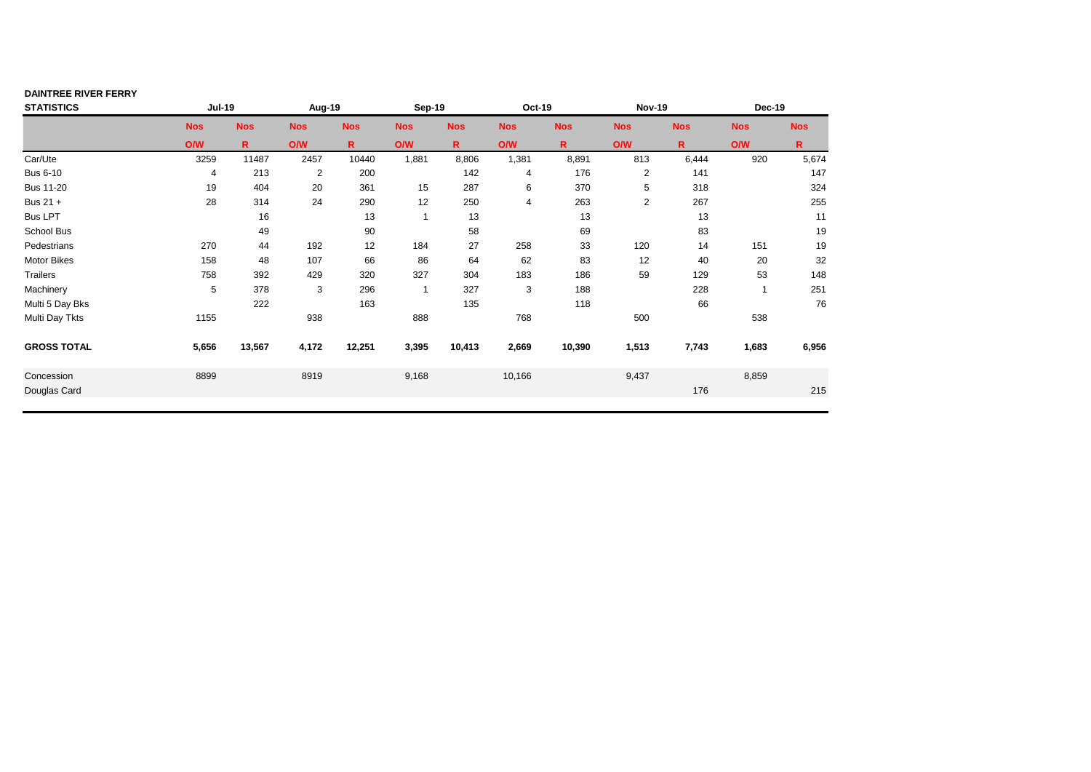| <b>Nos</b>     | <b>Nos</b>                                                                |
|----------------|---------------------------------------------------------------------------|
| <b>O/W</b>     | R.                                                                        |
| 920            | 5,674                                                                     |
|                | 147                                                                       |
|                | 324                                                                       |
|                | 255                                                                       |
| 13             | 11                                                                        |
| 83             | 19                                                                        |
| 151<br>14      | 19                                                                        |
| 40<br>20       | 32                                                                        |
| 53             | 148                                                                       |
| $\overline{1}$ | 251                                                                       |
| 66             | 76                                                                        |
| 538            |                                                                           |
| 1,683          | 6,956                                                                     |
| 8,859          |                                                                           |
|                | 215                                                                       |
| <b>Nos</b>     | <b>Dec-19</b><br>6,444<br>141<br>318<br>267<br>129<br>228<br>7,743<br>176 |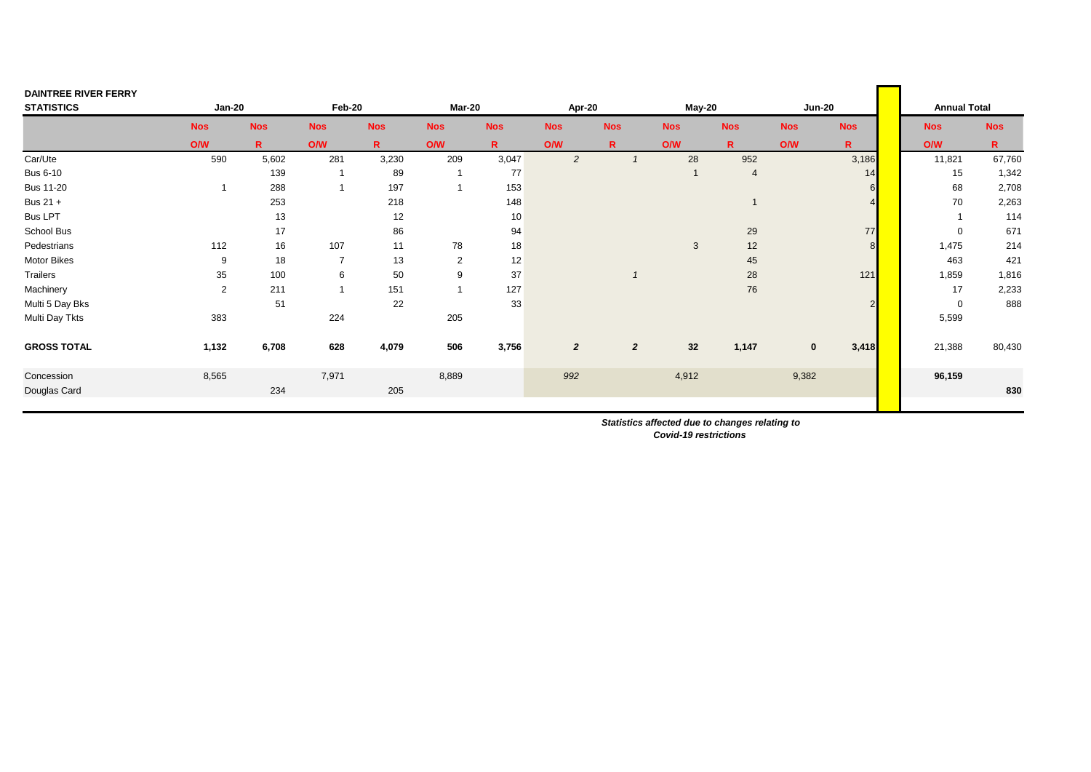| <b>DAINTREE RIVER FERRY</b> |                |             |                         |              |                |             |                |                |                |                |               |                |                     |              |
|-----------------------------|----------------|-------------|-------------------------|--------------|----------------|-------------|----------------|----------------|----------------|----------------|---------------|----------------|---------------------|--------------|
| <b>STATISTICS</b>           | <b>Jan-20</b>  |             | Feb-20                  |              | Mar-20         |             | Apr-20         |                | May-20         |                | <b>Jun-20</b> |                | <b>Annual Total</b> |              |
|                             | <b>Nos</b>     | <b>Nos</b>  | <b>Nos</b>              | <b>Nos</b>   | <b>Nos</b>     | <b>Nos</b>  | <b>Nos</b>     | <b>Nos</b>     | <b>Nos</b>     | <b>Nos</b>     | <b>Nos</b>    | <b>Nos</b>     | <b>Nos</b>          | <b>Nos</b>   |
|                             | ONW            | $\mathbf R$ | O/W                     | $\mathbb{R}$ | ONV            | $\mathbf R$ | O/W            | $\mathsf{R}$   | <b>O/W</b>     | $\mathbf{R}$   | O/W           | $\mathbf R$    | O/W                 | $\mathsf{R}$ |
| Car/Ute                     | 590            | 5,602       | 281                     | 3,230        | 209            | 3,047       | $\overline{2}$ |                | 28             | 952            |               | 3,186          | 11,821              | 67,760       |
| <b>Bus 6-10</b>             |                | 139         | $\mathbf{1}$            | 89           | $\overline{1}$ | 77          |                |                | $\overline{1}$ | $\overline{4}$ |               | 14             | 15                  | 1,342        |
| <b>Bus 11-20</b>            |                | 288         | $\overline{1}$          | 197          |                | 153         |                |                |                |                |               |                | 68                  | 2,708        |
| Bus 21 +                    |                | 253         |                         | 218          |                | 148         |                |                |                |                |               |                | 70                  | 2,263        |
| <b>Bus LPT</b>              |                | 13          |                         | 12           |                | 10          |                |                |                |                |               |                |                     | 114          |
| School Bus                  |                | 17          |                         | 86           |                | 94          |                |                |                | 29             |               | 77             | $\mathbf 0$         | 671          |
| Pedestrians                 | 112            | 16          | 107                     | 11           | 78             | 18          |                |                | 3              | 12             |               | 8 <sup>1</sup> | 1,475               | 214          |
| <b>Motor Bikes</b>          | 9              | 18          | $\overline{7}$          | 13           | $\overline{2}$ | 12          |                |                |                | 45             |               |                | 463                 | 421          |
| Trailers                    | 35             | 100         | 6                       | 50           | 9              | 37          |                |                |                | 28             |               | 121            | 1,859               | 1,816        |
| Machinery                   | $\overline{2}$ | 211         | $\overline{\mathbf{1}}$ | 151          | $\overline{1}$ | 127         |                |                |                | 76             |               |                | 17                  | 2,233        |
| Multi 5 Day Bks             |                | 51          |                         | 22           |                | 33          |                |                |                |                |               |                | $\mathbf 0$         | 888          |
| Multi Day Tkts              | 383            |             | 224                     |              | 205            |             |                |                |                |                |               |                | 5,599               |              |
| <b>GROSS TOTAL</b>          | 1,132          | 6,708       | 628                     | 4,079        | 506            | 3,756       | $\overline{2}$ | $\overline{2}$ | 32             | 1,147          | $\mathbf 0$   | 3,418          | 21,388              | 80,430       |
| Concession                  | 8,565          |             | 7,971                   |              | 8,889          |             | 992            |                | 4,912          |                | 9,382         |                | 96,159              |              |
| Douglas Card                |                | 234         |                         | 205          |                |             |                |                |                |                |               |                |                     | 830          |
|                             |                |             |                         |              |                |             |                |                |                |                |               |                |                     |              |

 *Statistics affected due to changes relating to Covid-19 restrictions*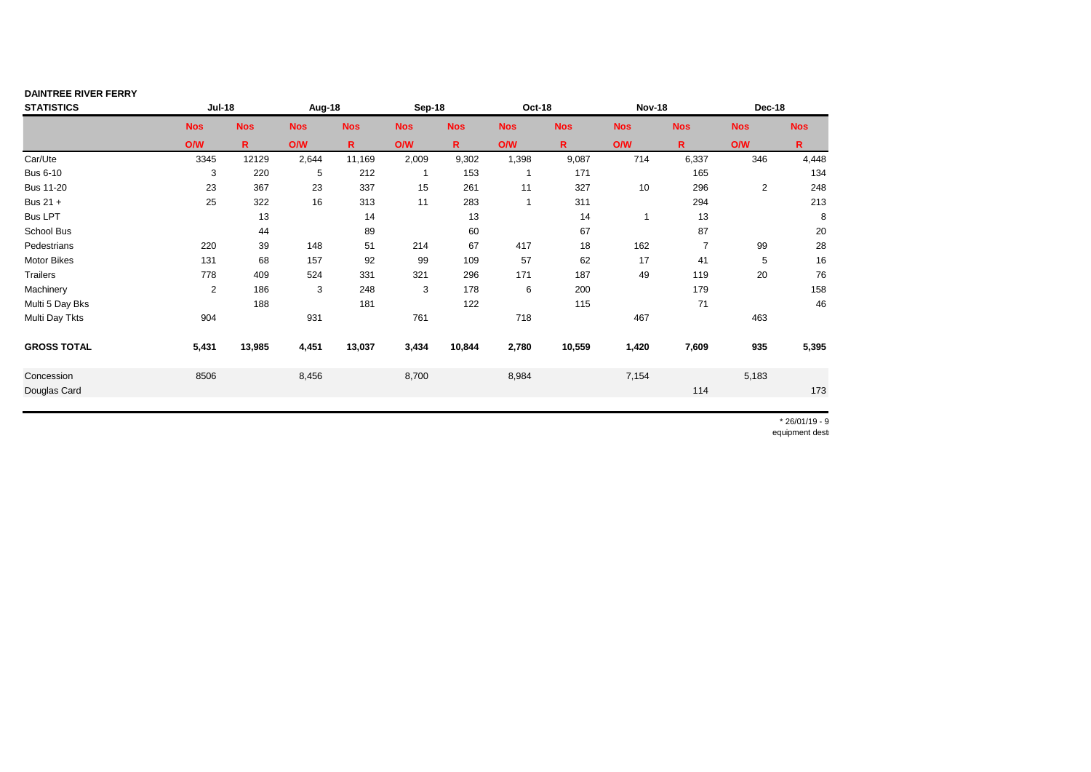| <b>DAINTREE RIVER FERRY</b> |               |              |            |             |              |              |            |             |               |                |                |              |
|-----------------------------|---------------|--------------|------------|-------------|--------------|--------------|------------|-------------|---------------|----------------|----------------|--------------|
| <b>STATISTICS</b>           | <b>Jul-18</b> |              | Aug-18     |             | Sep-18       |              | Oct-18     |             | <b>Nov-18</b> |                | Dec-18         |              |
|                             | <b>Nos</b>    | <b>Nos</b>   | <b>Nos</b> | <b>Nos</b>  | <b>Nos</b>   | <b>Nos</b>   | <b>Nos</b> | <b>Nos</b>  | <b>Nos</b>    | <b>Nos</b>     | <b>Nos</b>     | <b>Nos</b>   |
|                             | O/W           | $\mathsf{R}$ | <b>O/W</b> | $\mathbf R$ | <b>O/W</b>   | $\mathsf{R}$ | <b>O/W</b> | $\mathbf R$ | O/W           | R.             | <b>O/W</b>     | $\mathsf{R}$ |
| Car/Ute                     | 3345          | 12129        | 2,644      | 11,169      | 2,009        | 9,302        | 1,398      | 9,087       | 714           | 6,337          | 346            | 4,448        |
| <b>Bus 6-10</b>             | 3             | 220          | 5          | 212         | $\mathbf{1}$ | 153          |            | 171         |               | 165            |                | 134          |
| <b>Bus 11-20</b>            | 23            | 367          | 23         | 337         | 15           | 261          | 11         | 327         | 10            | 296            | $\overline{2}$ | 248          |
| Bus 21 +                    | 25            | 322          | 16         | 313         | 11           | 283          |            | 311         |               | 294            |                | 213          |
| <b>Bus LPT</b>              |               | 13           |            | 14          |              | 13           |            | 14          |               | 13             |                | 8            |
| School Bus                  |               | 44           |            | 89          |              | 60           |            | 67          |               | 87             |                | 20           |
| Pedestrians                 | 220           | 39           | 148        | 51          | 214          | 67           | 417        | 18          | 162           | $\overline{7}$ | 99             | 28           |
| <b>Motor Bikes</b>          | 131           | 68           | 157        | 92          | 99           | 109          | 57         | 62          | 17            | 41             | 5              | 16           |
| <b>Trailers</b>             | 778           | 409          | 524        | 331         | 321          | 296          | 171        | 187         | 49            | 119            | 20             | 76           |
| Machinery                   | 2             | 186          | 3          | 248         | 3            | 178          | 6          | 200         |               | 179            |                | 158          |
| Multi 5 Day Bks             |               | 188          |            | 181         |              | 122          |            | 115         |               | 71             |                | 46           |
| Multi Day Tkts              | 904           |              | 931        |             | 761          |              | 718        |             | 467           |                | 463            |              |
| <b>GROSS TOTAL</b>          | 5,431         | 13,985       | 4,451      | 13,037      | 3,434        | 10,844       | 2,780      | 10,559      | 1,420         | 7,609          | 935            | 5,395        |
| Concession                  | 8506          |              | 8,456      |             | 8,700        |              | 8,984      |             | 7,154         |                | 5,183          |              |
| Douglas Card                |               |              |            |             |              |              |            |             |               | 114            |                | 173          |

 $* 26/01/19 - 9$ equipment dest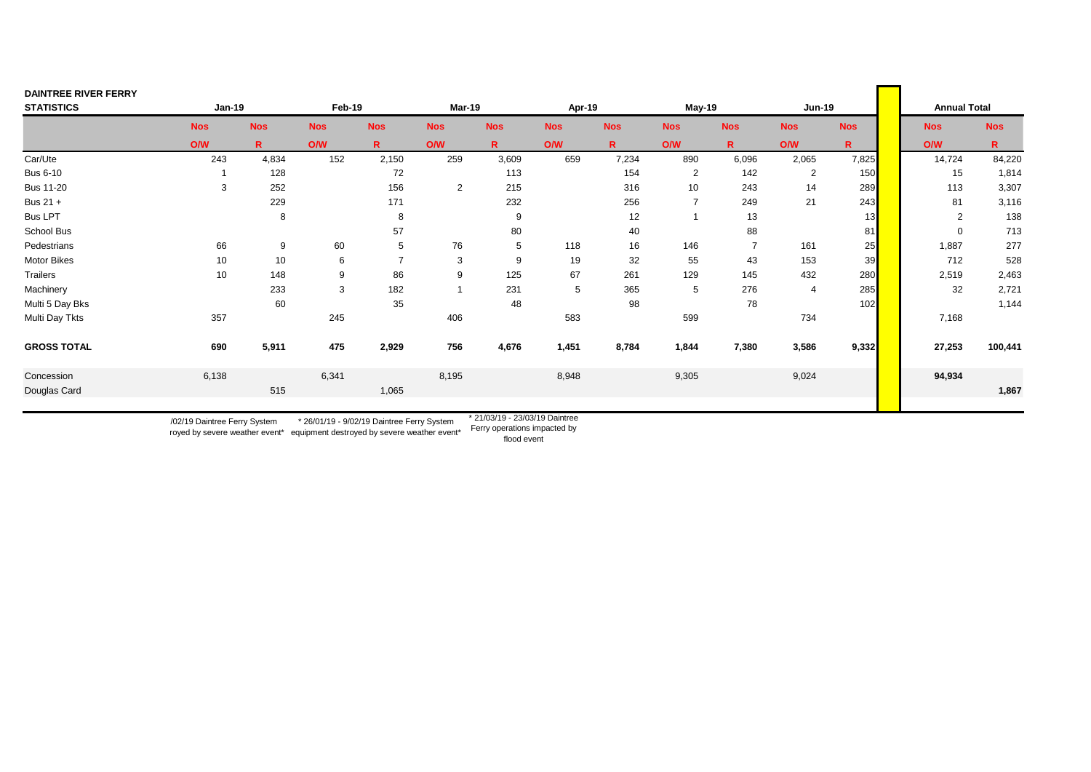| <b>DAINTREE RIVER FERRY</b> |            |            |            |                |                |              |            |            |                 |                |               |            |                     |            |
|-----------------------------|------------|------------|------------|----------------|----------------|--------------|------------|------------|-----------------|----------------|---------------|------------|---------------------|------------|
| <b>STATISTICS</b>           | Jan-19     |            | Feb-19     |                | Mar-19         |              | Apr-19     |            | May-19          |                | <b>Jun-19</b> |            | <b>Annual Total</b> |            |
|                             | <b>Nos</b> | <b>Nos</b> | <b>Nos</b> | <b>Nos</b>     | <b>Nos</b>     | <b>Nos</b>   | <b>Nos</b> | <b>Nos</b> | <b>Nos</b>      | <b>Nos</b>     | <b>Nos</b>    | <b>Nos</b> | <b>Nos</b>          | <b>Nos</b> |
|                             | O/W        | R          | O/W        | $\mathsf{R}$   | ONV            | $\mathbb{R}$ | ONW        | R.         | <b>O/W</b>      | R.             | <b>O/W</b>    | R          | O/W                 | R.         |
| Car/Ute                     | 243        | 4,834      | 152        | 2,150          | 259            | 3,609        | 659        | 7,234      | 890             | 6,096          | 2,065         | 7,825      | 14,724              | 84,220     |
| <b>Bus 6-10</b>             |            | 128        |            | 72             |                | 113          |            | 154        | $\overline{2}$  | 142            | 2             | 150        | 15                  | 1,814      |
| <b>Bus 11-20</b>            | 3          | 252        |            | 156            | $\overline{2}$ | 215          |            | 316        | 10 <sup>1</sup> | 243            | 14            | 289        | 113                 | 3,307      |
| Bus 21 +                    |            | 229        |            | 171            |                | 232          |            | 256        | $\overline{7}$  | 249            | 21            | 243        | 81                  | 3,116      |
| <b>Bus LPT</b>              |            | 8          |            | 8              |                | 9            |            | 12         | $\overline{ }$  | 13             |               | 13         | 2                   | 138        |
| School Bus                  |            |            |            | 57             |                | 80           |            | 40         |                 | 88             |               | 81         | $\mathbf 0$         | 713        |
| Pedestrians                 | 66         | 9          | 60         | 5              | 76             | 5            | 118        | 16         | 146             | $\overline{7}$ | 161           | 25         | 1,887               | 277        |
| Motor Bikes                 | 10         | 10         | 6          | $\overline{7}$ | 3              | 9            | 19         | 32         | 55              | 43             | 153           | 39         | 712                 | 528        |
| Trailers                    | 10         | 148        | 9          | 86             | 9              | 125          | 67         | 261        | 129             | 145            | 432           | 280        | 2,519               | 2,463      |
| Machinery                   |            | 233        | 3          | 182            |                | 231          | 5          | 365        | 5               | 276            | 4             | 285        | 32                  | 2,721      |
| Multi 5 Day Bks             |            | 60         |            | 35             |                | 48           |            | 98         |                 | 78             |               | 102        |                     | 1,144      |
| Multi Day Tkts              | 357        |            | 245        |                | 406            |              | 583        |            | 599             |                | 734           |            | 7,168               |            |
| <b>GROSS TOTAL</b>          | 690        | 5,911      | 475        | 2,929          | 756            | 4,676        | 1,451      | 8,784      | 1,844           | 7,380          | 3,586         | 9,332      | 27,253              | 100,441    |
| Concession                  | 6,138      |            | 6,341      |                | 8,195          |              | 8,948      |            | 9,305           |                | 9,024         |            | 94,934              |            |
| Douglas Card                |            | 515        |            | 1,065          |                |              |            |            |                 |                |               |            |                     | 1,867      |
|                             |            |            |            |                |                |              |            |            |                 |                |               |            |                     |            |

\* 26/01/19 - 9/02/19 Daintree Ferry System and the contractions impacted by uniquently system and the ferry operations impacted by /02/19 Daintree Ferry System

royed by severe weather event\*

equipment destroyed by severe weather event\*

\* 21/03/19 - 23/03/19 Daintree

flood event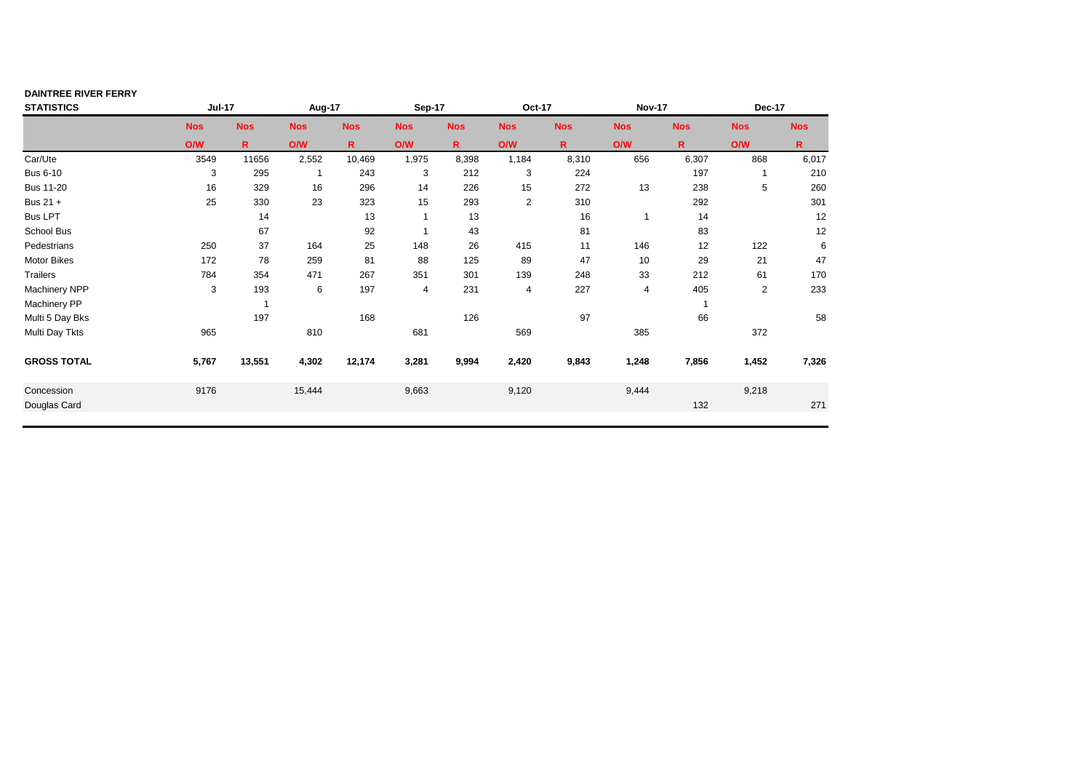| <b>DAINTREE RIVER FERRY</b> |               |              |            |              |            |             |                |              |               |            |              |              |
|-----------------------------|---------------|--------------|------------|--------------|------------|-------------|----------------|--------------|---------------|------------|--------------|--------------|
| <b>STATISTICS</b>           | <b>Jul-17</b> |              | Aug-17     |              | Sep-17     |             | Oct-17         |              | <b>Nov-17</b> |            | Dec-17       |              |
|                             | <b>Nos</b>    | <b>Nos</b>   | <b>Nos</b> | <b>Nos</b>   | <b>Nos</b> | <b>Nos</b>  | <b>Nos</b>     | <b>Nos</b>   | <b>Nos</b>    | <b>Nos</b> | <b>Nos</b>   | <b>Nos</b>   |
|                             | O/W           | $\mathsf{R}$ | <b>O/W</b> | $\mathsf{R}$ | <b>O/W</b> | $\mathbf R$ | <b>O/W</b>     | $\mathsf{R}$ | O/W           | R.         | <b>O/W</b>   | $\mathsf{R}$ |
| Car/Ute                     | 3549          | 11656        | 2,552      | 10,469       | 1,975      | 8,398       | 1,184          | 8,310        | 656           | 6,307      | 868          | 6,017        |
| <b>Bus 6-10</b>             | 3             | 295          | 1          | 243          | 3          | 212         | 3              | 224          |               | 197        |              | 210          |
| <b>Bus 11-20</b>            | 16            | 329          | 16         | 296          | 14         | 226         | 15             | 272          | 13            | 238        | 5            | 260          |
| Bus 21 +                    | 25            | 330          | 23         | 323          | 15         | 293         | $\overline{2}$ | 310          |               | 292        |              | 301          |
| <b>Bus LPT</b>              |               | 14           |            | 13           |            | 13          |                | 16           |               | 14         |              | 12           |
| School Bus                  |               | 67           |            | 92           |            | 43          |                | 81           |               | 83         |              | 12           |
| Pedestrians                 | 250           | 37           | 164        | 25           | 148        | 26          | 415            | 11           | 146           | 12         | 122          | 6            |
| <b>Motor Bikes</b>          | 172           | 78           | 259        | 81           | 88         | 125         | 89             | 47           | 10            | 29         | 21           | 47           |
| <b>Trailers</b>             | 784           | 354          | 471        | 267          | 351        | 301         | 139            | 248          | 33            | 212        | 61           | 170          |
| <b>Machinery NPP</b>        | 3             | 193          | 6          | 197          | 4          | 231         | 4              | 227          | 4             | 405        | $\mathbf{2}$ | 233          |
| <b>Machinery PP</b>         |               | $\mathbf{1}$ |            |              |            |             |                |              |               |            |              |              |
| Multi 5 Day Bks             |               | 197          |            | 168          |            | 126         |                | 97           |               | 66         |              | 58           |
| Multi Day Tkts              | 965           |              | 810        |              | 681        |             | 569            |              | 385           |            | 372          |              |
| <b>GROSS TOTAL</b>          | 5,767         | 13,551       | 4,302      | 12,174       | 3,281      | 9,994       | 2,420          | 9,843        | 1,248         | 7,856      | 1,452        | 7,326        |
| Concession                  | 9176          |              | 15,444     |              | 9,663      |             | 9,120          |              | 9,444         |            | 9,218        |              |
| Douglas Card                |               |              |            |              |            |             |                |              |               | 132        |              | 271          |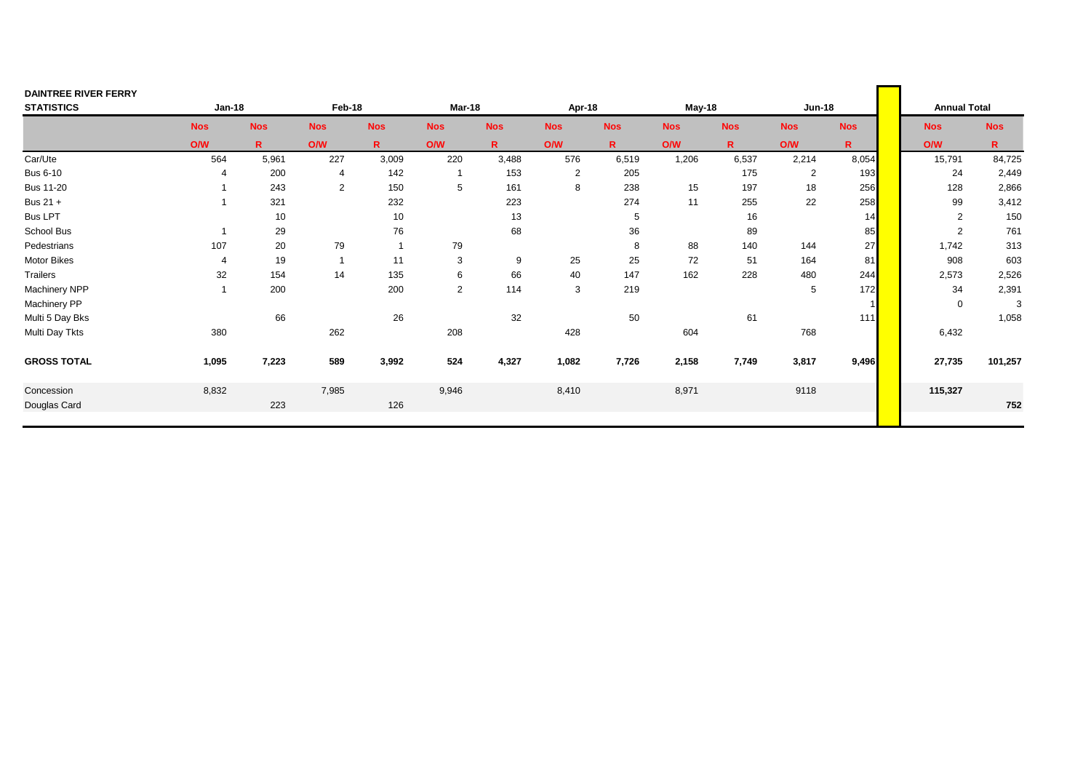| <b>DAINTREE RIVER FERRY</b> |               |              |                |              |                |              |                |              |            |              |                |              |                     |              |
|-----------------------------|---------------|--------------|----------------|--------------|----------------|--------------|----------------|--------------|------------|--------------|----------------|--------------|---------------------|--------------|
| <b>STATISTICS</b>           | <b>Jan-18</b> |              | Feb-18         |              | Mar-18         |              | Apr-18         |              | May-18     |              | <b>Jun-18</b>  |              | <b>Annual Total</b> |              |
|                             | <b>Nos</b>    | <b>Nos</b>   | <b>Nos</b>     | <b>Nos</b>   | <b>Nos</b>     | <b>Nos</b>   | <b>Nos</b>     | <b>Nos</b>   | <b>Nos</b> | <b>Nos</b>   | <b>Nos</b>     | <b>Nos</b>   | <b>Nos</b>          | <b>Nos</b>   |
|                             | O/W           | $\mathsf{R}$ | O/W            | $\mathsf{R}$ | <b>O/W</b>     | $\mathsf{R}$ | O/W            | $\mathsf{R}$ | <b>O/W</b> | $\mathsf{R}$ | <b>O/W</b>     | $\mathsf{R}$ | O/W                 | $\mathsf{R}$ |
| Car/Ute                     | 564           | 5,961        | 227            | 3,009        | 220            | 3,488        | 576            | 6,519        | 1,206      | 6,537        | 2,214          | 8,054        | 15,791              | 84,725       |
| <b>Bus 6-10</b>             |               | 200          | 4              | 142          | $\mathbf{1}$   | 153          | $\overline{2}$ | 205          |            | 175          | $\overline{2}$ | 193          | 24                  | 2,449        |
| <b>Bus 11-20</b>            |               | 243          | 2              | 150          | 5              | 161          | 8              | 238          | 15         | 197          | 18             | 256          | 128                 | 2,866        |
| Bus 21 +                    |               | 321          |                | 232          |                | 223          |                | 274          | 11         | 255          | 22             | 258          | 99                  | 3,412        |
| <b>Bus LPT</b>              |               | 10           |                | 10           |                | 13           |                | 5            |            | 16           |                | 14           | $\overline{2}$      | 150          |
| School Bus                  |               | 29           |                | 76           |                | 68           |                | 36           |            | 89           |                | 85           | 2                   | 761          |
| Pedestrians                 | 107           | 20           | 79             | $\mathbf{1}$ | 79             |              |                | 8            | 88         | 140          | 144            | 27           | 1,742               | 313          |
| Motor Bikes                 | 4             | 19           | $\overline{1}$ | 11           | 3              | 9            | 25             | 25           | 72         | 51           | 164            | 81           | 908                 | 603          |
| Trailers                    | 32            | 154          | 14             | 135          | 6              | 66           | 40             | 147          | 162        | 228          | 480            | 244          | 2,573               | 2,526        |
| Machinery NPP               |               | 200          |                | 200          | $\overline{2}$ | 114          | 3              | 219          |            |              | 5              | 172          | 34                  | 2,391        |
| Machinery PP                |               |              |                |              |                |              |                |              |            |              |                |              | $\mathbf 0$         | 3            |
| Multi 5 Day Bks             |               | 66           |                | 26           |                | 32           |                | 50           |            | 61           |                | $111$        |                     | 1,058        |
| Multi Day Tkts              | 380           |              | 262            |              | 208            |              | 428            |              | 604        |              | 768            |              | 6,432               |              |
| <b>GROSS TOTAL</b>          | 1,095         | 7,223        | 589            | 3,992        | 524            | 4,327        | 1,082          | 7,726        | 2,158      | 7,749        | 3,817          | 9,496        | 27,735              | 101,257      |
| Concession                  | 8,832         |              | 7,985          |              | 9,946          |              | 8,410          |              | 8,971      |              | 9118           |              | 115,327             |              |
| Douglas Card                |               | 223          |                | 126          |                |              |                |              |            |              |                |              |                     | 752          |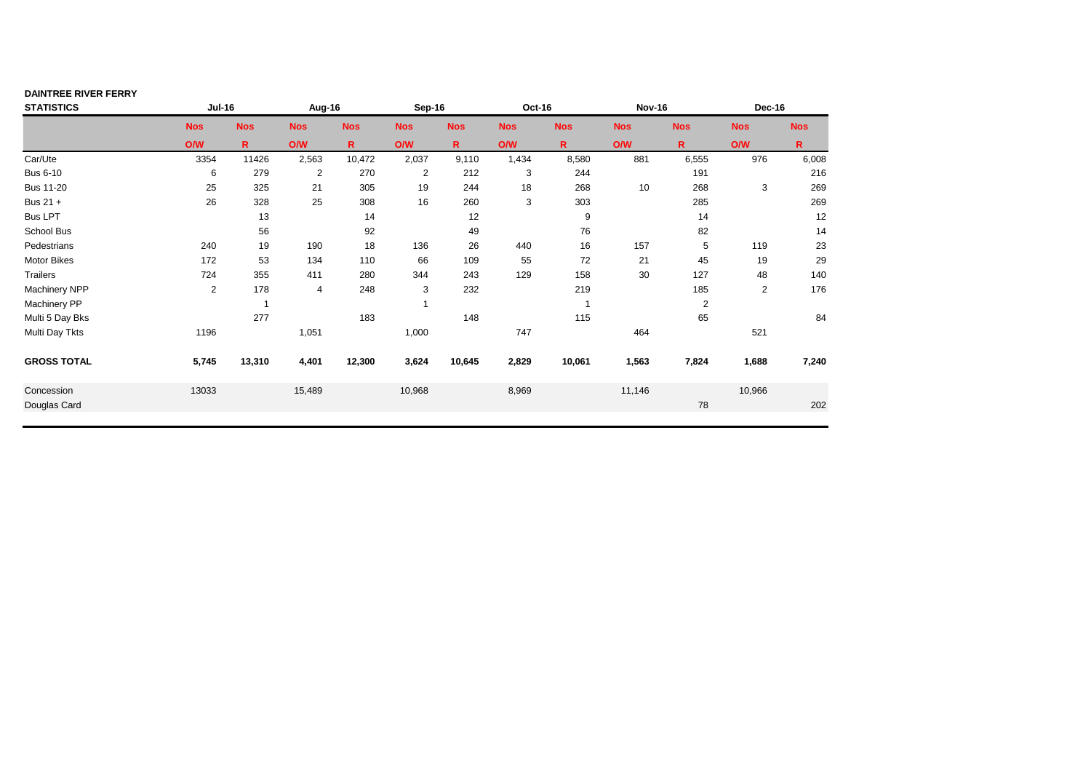| <b>DAINTREE RIVER FERRY</b> |               |              |                |              |                |             |            |              |               |              |            |              |
|-----------------------------|---------------|--------------|----------------|--------------|----------------|-------------|------------|--------------|---------------|--------------|------------|--------------|
| <b>STATISTICS</b>           | <b>Jul-16</b> |              | Aug-16         |              | Sep-16         |             | Oct-16     |              | <b>Nov-16</b> |              | Dec-16     |              |
|                             | <b>Nos</b>    | <b>Nos</b>   | <b>Nos</b>     | <b>Nos</b>   | <b>Nos</b>     | <b>Nos</b>  | <b>Nos</b> | <b>Nos</b>   | <b>Nos</b>    | <b>Nos</b>   | <b>Nos</b> | <b>Nos</b>   |
|                             | O/W           | $\mathsf{R}$ | <b>O/W</b>     | $\mathsf{R}$ | <b>O/W</b>     | $\mathbf R$ | <b>O/W</b> | $\mathsf{R}$ | O/W           | R.           | <b>O/W</b> | $\mathsf{R}$ |
| Car/Ute                     | 3354          | 11426        | 2,563          | 10,472       | 2,037          | 9,110       | 1,434      | 8,580        | 881           | 6,555        | 976        | 6,008        |
| <b>Bus 6-10</b>             | 6             | 279          | $\overline{2}$ | 270          | $\overline{c}$ | 212         | 3          | 244          |               | 191          |            | 216          |
| <b>Bus 11-20</b>            | 25            | 325          | 21             | 305          | 19             | 244         | 18         | 268          | 10            | 268          | 3          | 269          |
| Bus 21 +                    | 26            | 328          | 25             | 308          | 16             | 260         | 3          | 303          |               | 285          |            | 269          |
| <b>Bus LPT</b>              |               | 13           |                | 14           |                | 12          |            | 9            |               | 14           |            | 12           |
| School Bus                  |               | 56           |                | 92           |                | 49          |            | 76           |               | 82           |            | 14           |
| Pedestrians                 | 240           | 19           | 190            | 18           | 136            | 26          | 440        | 16           | 157           | 5            | 119        | 23           |
| <b>Motor Bikes</b>          | 172           | 53           | 134            | 110          | 66             | 109         | 55         | 72           | 21            | 45           | 19         | 29           |
| <b>Trailers</b>             | 724           | 355          | 411            | 280          | 344            | 243         | 129        | 158          | 30            | 127          | 48         | 140          |
| <b>Machinery NPP</b>        | 2             | 178          | $\overline{4}$ | 248          | 3              | 232         |            | 219          |               | 185          | 2          | 176          |
| <b>Machinery PP</b>         |               | $\mathbf{1}$ |                |              |                |             |            |              |               | $\mathbf{2}$ |            |              |
| Multi 5 Day Bks             |               | 277          |                | 183          |                | 148         |            | 115          |               | 65           |            | 84           |
| Multi Day Tkts              | 1196          |              | 1,051          |              | 1,000          |             | 747        |              | 464           |              | 521        |              |
| <b>GROSS TOTAL</b>          | 5,745         | 13,310       | 4,401          | 12,300       | 3,624          | 10,645      | 2,829      | 10,061       | 1,563         | 7,824        | 1,688      | 7,240        |
| Concession                  | 13033         |              | 15,489         |              | 10,968         |             | 8,969      |              | 11,146        |              | 10,966     |              |
| Douglas Card                |               |              |                |              |                |             |            |              |               | 78           |            | 202          |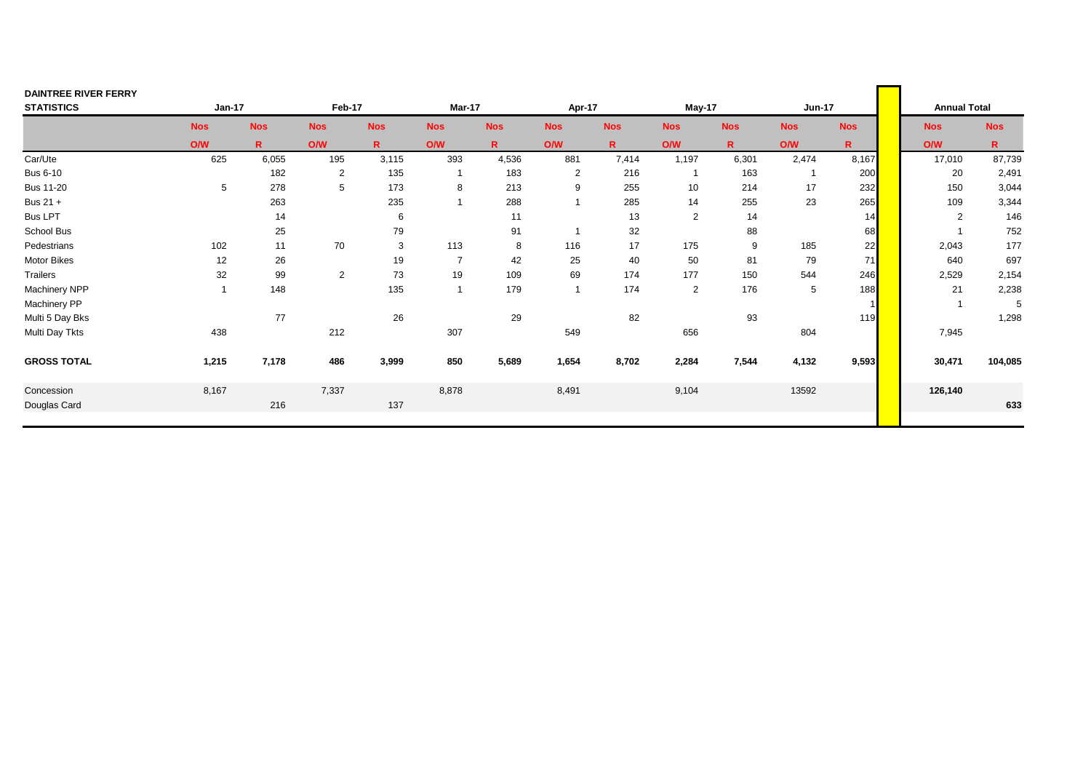| <b>DAINTREE RIVER FERRY</b> |            |              |                |              |                |             |                |              |                |              |               |             |                     |              |
|-----------------------------|------------|--------------|----------------|--------------|----------------|-------------|----------------|--------------|----------------|--------------|---------------|-------------|---------------------|--------------|
| <b>STATISTICS</b>           | Jan-17     |              | Feb-17         |              | Mar-17         |             | Apr-17         |              | May-17         |              | <b>Jun-17</b> |             | <b>Annual Total</b> |              |
|                             | <b>Nos</b> | <b>Nos</b>   | <b>Nos</b>     | <b>Nos</b>   | <b>Nos</b>     | <b>Nos</b>  | <b>Nos</b>     | <b>Nos</b>   | <b>Nos</b>     | <b>Nos</b>   | <b>Nos</b>    | <b>Nos</b>  | <b>Nos</b>          | <b>Nos</b>   |
|                             | ONW        | $\mathsf{R}$ | O/W            | $\mathsf{R}$ | <b>O/W</b>     | $\mathbf R$ | O/W            | $\mathsf{R}$ | <b>O/W</b>     | $\mathbf{R}$ | ONV           | $\mathbf R$ | O/W                 | $\mathsf{R}$ |
| Car/Ute                     | 625        | 6,055        | 195            | 3,115        | 393            | 4,536       | 881            | 7,414        | 1,197          | 6,301        | 2,474         | 8,167       | 17,010              | 87,739       |
| <b>Bus 6-10</b>             |            | 182          | $\overline{2}$ | 135          | $\mathbf{1}$   | 183         | $\overline{2}$ | 216          | $\overline{1}$ | 163          |               | 200         | 20                  | 2,491        |
| <b>Bus 11-20</b>            | 5          | 278          | 5              | 173          | 8              | 213         | 9              | 255          | 10             | 214          | 17            | 232         | 150                 | 3,044        |
| Bus 21 +                    |            | 263          |                | 235          | $\overline{1}$ | 288         |                | 285          | 14             | 255          | 23            | 265         | 109                 | 3,344        |
| <b>Bus LPT</b>              |            | 14           |                | 6            |                | 11          |                | 13           | $\overline{2}$ | 14           |               | 14          | 2                   | 146          |
| School Bus                  |            | 25           |                | 79           |                | 91          |                | 32           |                | 88           |               | 68          |                     | 752          |
| Pedestrians                 | 102        | 11           | 70             | 3            | 113            | 8           | 116            | 17           | 175            | 9            | 185           | 22          | 2,043               | 177          |
| Motor Bikes                 | 12         | 26           |                | 19           | $\overline{7}$ | 42          | 25             | 40           | 50             | 81           | 79            | 71          | 640                 | 697          |
| Trailers                    | 32         | 99           | 2              | 73           | 19             | 109         | 69             | 174          | 177            | 150          | 544           | 246         | 2,529               | 2,154        |
| Machinery NPP               |            | 148          |                | 135          | $\overline{1}$ | 179         | $\overline{1}$ | 174          | $\overline{2}$ | 176          | 5             | 188         | 21                  | 2,238        |
| <b>Machinery PP</b>         |            |              |                |              |                |             |                |              |                |              |               |             |                     | 5            |
| Multi 5 Day Bks             |            | 77           |                | 26           |                | 29          |                | 82           |                | 93           |               | 119         |                     | 1,298        |
| Multi Day Tkts              | 438        |              | 212            |              | 307            |             | 549            |              | 656            |              | 804           |             | 7,945               |              |
| <b>GROSS TOTAL</b>          | 1,215      | 7,178        | 486            | 3,999        | 850            | 5,689       | 1,654          | 8,702        | 2,284          | 7,544        | 4,132         | 9,593       | 30,471              | 104,085      |
| Concession                  | 8,167      |              | 7,337          |              | 8,878          |             | 8,491          |              | 9,104          |              | 13592         |             | 126,140             |              |
| Douglas Card                |            | 216          |                | 137          |                |             |                |              |                |              |               |             |                     | 633          |
|                             |            |              |                |              |                |             |                |              |                |              |               |             |                     |              |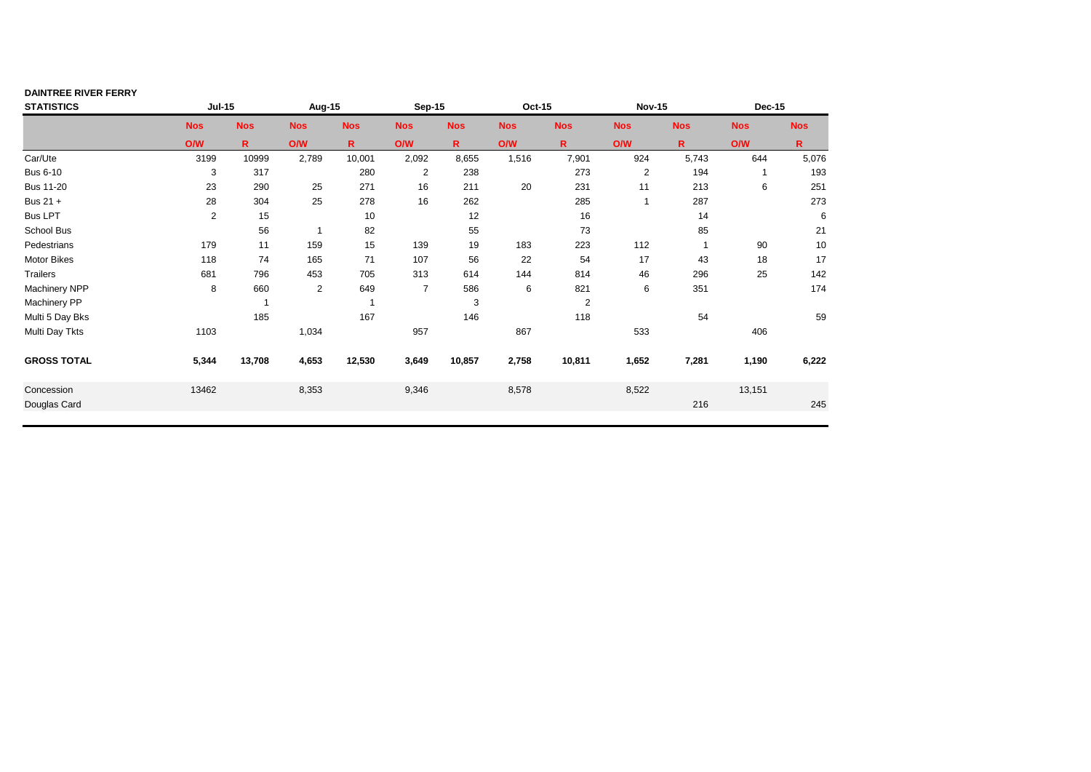| <b>DAINTREE RIVER FERRY</b> |               |                         |                |                          |                |              |            |                |                |            |               |            |
|-----------------------------|---------------|-------------------------|----------------|--------------------------|----------------|--------------|------------|----------------|----------------|------------|---------------|------------|
| <b>STATISTICS</b>           | <b>Jul-15</b> |                         | Aug-15         |                          | <b>Sep-15</b>  |              | Oct-15     |                | <b>Nov-15</b>  |            | <b>Dec-15</b> |            |
|                             | <b>Nos</b>    | <b>Nos</b>              | <b>Nos</b>     | <b>Nos</b>               | <b>Nos</b>     | <b>Nos</b>   | <b>Nos</b> | <b>Nos</b>     | <b>Nos</b>     | <b>Nos</b> | <b>Nos</b>    | <b>Nos</b> |
|                             | <b>O/W</b>    | $\mathbf{R}$            | <b>O/W</b>     | R                        | <b>O/W</b>     | $\mathsf{R}$ | <b>O/W</b> | $\mathsf{R}$   | O/W            | R.         | <b>O/W</b>    | R.         |
| Car/Ute                     | 3199          | 10999                   | 2,789          | 10,001                   | 2,092          | 8,655        | 1,516      | 7,901          | 924            | 5,743      | 644           | 5,076      |
| <b>Bus 6-10</b>             | 3             | 317                     |                | 280                      | 2              | 238          |            | 273            | $\overline{2}$ | 194        |               | 193        |
| <b>Bus 11-20</b>            | 23            | 290                     | 25             | 271                      | 16             | 211          | 20         | 231            | 11             | 213        | 6             | 251        |
| Bus 21 +                    | 28            | 304                     | 25             | 278                      | 16             | 262          |            | 285            |                | 287        |               | 273        |
| <b>Bus LPT</b>              | 2             | 15                      |                | 10                       |                | 12           |            | 16             |                | 14         |               | 6          |
| School Bus                  |               | 56                      | $\overline{1}$ | 82                       |                | 55           |            | 73             |                | 85         |               | 21         |
| Pedestrians                 | 179           | 11                      | 159            | 15                       | 139            | 19           | 183        | 223            | 112            |            | 90            | 10         |
| <b>Motor Bikes</b>          | 118           | 74                      | 165            | 71                       | 107            | 56           | 22         | 54             | 17             | 43         | 18            | 17         |
| <b>Trailers</b>             | 681           | 796                     | 453            | 705                      | 313            | 614          | 144        | 814            | 46             | 296        | 25            | 142        |
| Machinery NPP               | 8             | 660                     | 2              | 649                      | $\overline{7}$ | 586          | 6          | 821            | 6              | 351        |               | 174        |
| Machinery PP                |               | $\overline{\mathbf{1}}$ |                | $\overline{\phantom{a}}$ |                | 3            |            | $\overline{2}$ |                |            |               |            |
| Multi 5 Day Bks             |               | 185                     |                | 167                      |                | 146          |            | 118            |                | 54         |               | 59         |
| Multi Day Tkts              | 1103          |                         | 1,034          |                          | 957            |              | 867        |                | 533            |            | 406           |            |
| <b>GROSS TOTAL</b>          | 5,344         | 13,708                  | 4,653          | 12,530                   | 3,649          | 10,857       | 2,758      | 10,811         | 1,652          | 7,281      | 1,190         | 6,222      |
| Concession                  | 13462         |                         | 8,353          |                          | 9,346          |              | 8,578      |                | 8,522          |            | 13,151        |            |
| Douglas Card                |               |                         |                |                          |                |              |            |                |                | 216        |               | 245        |